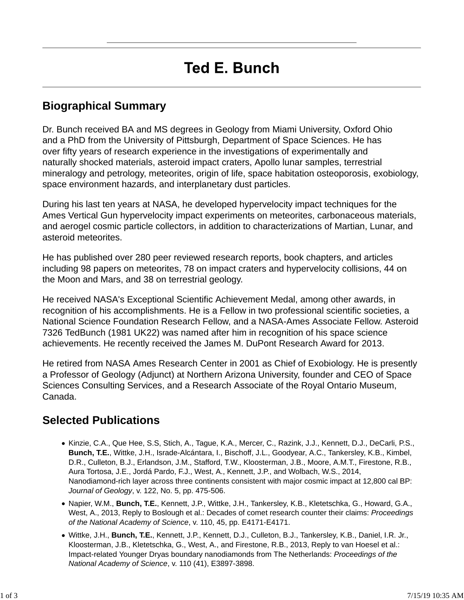## **Biographical Summary**

Dr. Bunch received BA and MS degrees in Geology from Miami University, Oxford Ohio and a PhD from the University of Pittsburgh, Department of Space Sciences. He has over fifty years of research experience in the investigations of experimentally and naturally shocked materials, asteroid impact craters, Apollo lunar samples, terrestrial mineralogy and petrology, meteorites, origin of life, space habitation osteoporosis, exobiology, space environment hazards, and interplanetary dust particles.

During his last ten years at NASA, he developed hypervelocity impact techniques for the Ames Vertical Gun hypervelocity impact experiments on meteorites, carbonaceous materials, and aerogel cosmic particle collectors, in addition to characterizations of Martian, Lunar, and asteroid meteorites.

He has published over 280 peer reviewed research reports, book chapters, and articles including 98 papers on meteorites, 78 on impact craters and hypervelocity collisions, 44 on the Moon and Mars, and 38 on terrestrial geology.

He received NASA's Exceptional Scientific Achievement Medal, among other awards, in recognition of his accomplishments. He is a Fellow in two professional scientific societies, a National Science Foundation Research Fellow, and a NASA-Ames Associate Fellow. Asteroid 7326 TedBunch (1981 UK22) was named after him in recognition of his space science achievements. He recently received the James M. DuPont Research Award for 2013.

He retired from NASA Ames Research Center in 2001 as Chief of Exobiology. He is presently a Professor of Geology (Adjunct) at Northern Arizona University, founder and CEO of Space Sciences Consulting Services, and a Research Associate of the Royal Ontario Museum, Canada.

## **Selected Publications**

- Kinzie, C.A., Que Hee, S.S, Stich, A., Tague, K.A., Mercer, C., Razink, J.J., Kennett, D.J., DeCarli, P.S., **Bunch, T.E.**, Wittke, J.H., Israde-Alcántara, I., Bischoff, J.L., Goodyear, A.C., Tankersley, K.B., Kimbel, D.R., Culleton, B.J., Erlandson, J.M., Stafford, T.W., Kloosterman, J.B., Moore, A.M.T., Firestone, R.B., Aura Tortosa, J.E., Jordá Pardo, F.J., West, A., Kennett, J.P., and Wolbach, W.S., 2014, Nanodiamond-rich layer across three continents consistent with major cosmic impact at 12,800 cal BP: *Journal of Geology*, v. 122, No. 5, pp. 475-506.
- Napier, W.M., **Bunch, T.E.**, Kennett, J.P., Wittke, J.H., Tankersley, K.B., Kletetschka, G., Howard, G.A., West, A., 2013, Reply to Boslough et al.: Decades of comet research counter their claims: *Proceedings of the National Academy of Science*, v. 110, 45, pp. E4171-E4171.
- Wittke, J.H., **Bunch, T.E.**, Kennett, J.P., Kennett, D.J., Culleton, B.J., Tankersley, K.B., Daniel, I.R. Jr., Kloosterman, J.B., Kletetschka, G., West, A., and Firestone, R.B., 2013, Reply to van Hoesel et al.: Impact-related Younger Dryas boundary nanodiamonds from The Netherlands: *Proceedings of the National Academy of Science*, v. 110 (41), E3897-3898.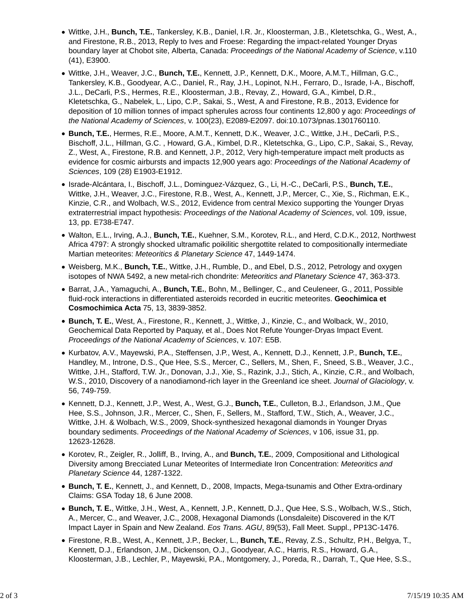- Wittke, J.H., **Bunch, T.E.**, Tankersley, K.B., Daniel, I.R. Jr., Kloosterman, J.B., Kletetschka, G., West, A., and Firestone, R.B., 2013, Reply to Ives and Froese: Regarding the impact-related Younger Dryas boundary layer at Chobot site, Alberta, Canada: *Proceedings of the National Academy of Science*, v.110 (41), E3900.
- Wittke, J.H., Weaver, J.C., **Bunch, T.E.**, Kennett, J.P., Kennett, D.K., Moore, A.M.T., Hillman, G.C., Tankersley, K.B., Goodyear, A.C., Daniel, R., Ray, J.H., Lopinot, N.H., Ferraro, D., Israde, I-A., Bischoff, J.L., DeCarli, P.S., Hermes, R.E., Kloosterman, J.B., Revay, Z., Howard, G.A., Kimbel, D.R., Kletetschka, G., Nabelek, L., Lipo, C.P., Sakai, S., West, A and Firestone, R.B., 2013, Evidence for deposition of 10 million tonnes of impact spherules across four continents 12,800 y ago: *Proceedings of the National Academy of Sciences*, v. 100(23), E2089-E2097. doi:10.1073/pnas.1301760110.
- **Bunch, T.E.**, Hermes, R.E., Moore, A.M.T., Kennett, D.K., Weaver, J.C., Wittke, J.H., DeCarli, P.S., Bischoff, J.L., Hillman, G.C. , Howard, G.A., Kimbel, D.R., Kletetschka, G., Lipo, C.P., Sakai, S., Revay, Z., West, A., Firestone, R.B. and Kennett, J.P., 2012, Very high-temperature impact melt products as evidence for cosmic airbursts and impacts 12,900 years ago: *Proceedings of the National Academy of Sciences*, 109 (28) E1903-E1912.
- Israde-Alcántara, I., Bischoff, J.L., Dominguez-Vázquez, G., Li, H.-C., DeCarli, P.S., **Bunch, T.E.**, Wittke, J.H., Weaver, J.C., Firestone, R.B., West, A., Kennett, J.P., Mercer, C., Xie, S., Richman, E.K., Kinzie, C.R., and Wolbach, W.S., 2012, Evidence from central Mexico supporting the Younger Dryas extraterrestrial impact hypothesis: *Proceedings of the National Academy of Sciences*, vol. 109, issue, 13, pp. E738-E747.
- Walton, E.L., Irving, A.J., **Bunch, T.E.**, Kuehner, S.M., Korotev, R.L., and Herd, C.D.K., 2012, Northwest Africa 4797: A strongly shocked ultramafic poikilitic shergottite related to compositionally intermediate Martian meteorites: *Meteoritics & Planetary Science* 47, 1449-1474.
- Weisberg, M.K., **Bunch, T.E.**, Wittke, J.H., Rumble, D., and Ebel, D.S., 2012, Petrology and oxygen isotopes of NWA 5492, a new metal-rich chondrite: *Meteoritics and Planetary Science* 47, 363-373.
- Barrat, J.A., Yamaguchi, A., **Bunch, T.E.**, Bohn, M., Bellinger, C., and Ceuleneer, G., 2011, Possible fluid-rock interactions in differentiated asteroids recorded in eucritic meteorites. **Geochimica et Cosmochimica Acta** 75, 13, 3839-3852.
- **Bunch, T. E.**, West, A., Firestone, R., Kennett, J., Wittke, J., Kinzie, C., and Wolback, W., 2010, Geochemical Data Reported by Paquay, et al., Does Not Refute Younger-Dryas Impact Event. *Proceedings of the National Academy of Sciences*, v. 107: E5B.
- Kurbatov, A.V., Mayewski, P.A., Steffensen, J.P., West, A., Kennett, D.J., Kennett, J.P., **Bunch, T.E.**, Handley, M., Introne, D.S., Que Hee, S.S., Mercer, C., Sellers, M., Shen, F., Sneed, S.B., Weaver, J.C., Wittke, J.H., Stafford, T.W. Jr., Donovan, J.J., Xie, S., Razink, J.J., Stich, A., Kinzie, C.R., and Wolbach, W.S., 2010, Discovery of a nanodiamond-rich layer in the Greenland ice sheet. *Journal of Glaciology*, v. 56, 749-759.
- Kennett, D.J., Kennett, J.P., West, A., West, G.J., **Bunch, T.E.**, Culleton, B.J., Erlandson, J.M., Que Hee, S.S., Johnson, J.R., Mercer, C., Shen, F., Sellers, M., Stafford, T.W., Stich, A., Weaver, J.C., Wittke, J.H. & Wolbach, W.S., 2009, Shock-synthesized hexagonal diamonds in Younger Dryas boundary sediments. *Proceedings of the National Academy of Sciences*, v 106, issue 31, pp. 12623-12628.
- Korotev, R., Zeigler, R., Jolliff, B., Irving, A., and **Bunch, T.E.**, 2009, Compositional and Lithological Diversity among Brecciated Lunar Meteorites of Intermediate Iron Concentration: *Meteoritics and Planetary Science* 44, 1287-1322.
- **Bunch, T. E.**, Kennett, J., and Kennett, D., 2008, Impacts, Mega-tsunamis and Other Extra-ordinary Claims: GSA Today 18, 6 June 2008.
- **Bunch, T. E.**, Wittke, J.H., West, A., Kennett, J.P., Kennett, D.J., Que Hee, S.S., Wolbach, W.S., Stich, A., Mercer, C., and Weaver, J.C., 2008, Hexagonal Diamonds (Lonsdaleite) Discovered in the K/T Impact Layer in Spain and New Zealand. *Eos Trans. AGU*, 89(53), Fall Meet. Suppl., PP13C-1476.
- Firestone, R.B., West, A., Kennett, J.P., Becker, L., **Bunch, T.E.**, Revay, Z.S., Schultz, P.H., Belgya, T., Kennett, D.J., Erlandson, J.M., Dickenson, O.J., Goodyear, A.C., Harris, R.S., Howard, G.A., Kloosterman, J.B., Lechler, P., Mayewski, P.A., Montgomery, J., Poreda, R., Darrah, T., Que Hee, S.S.,